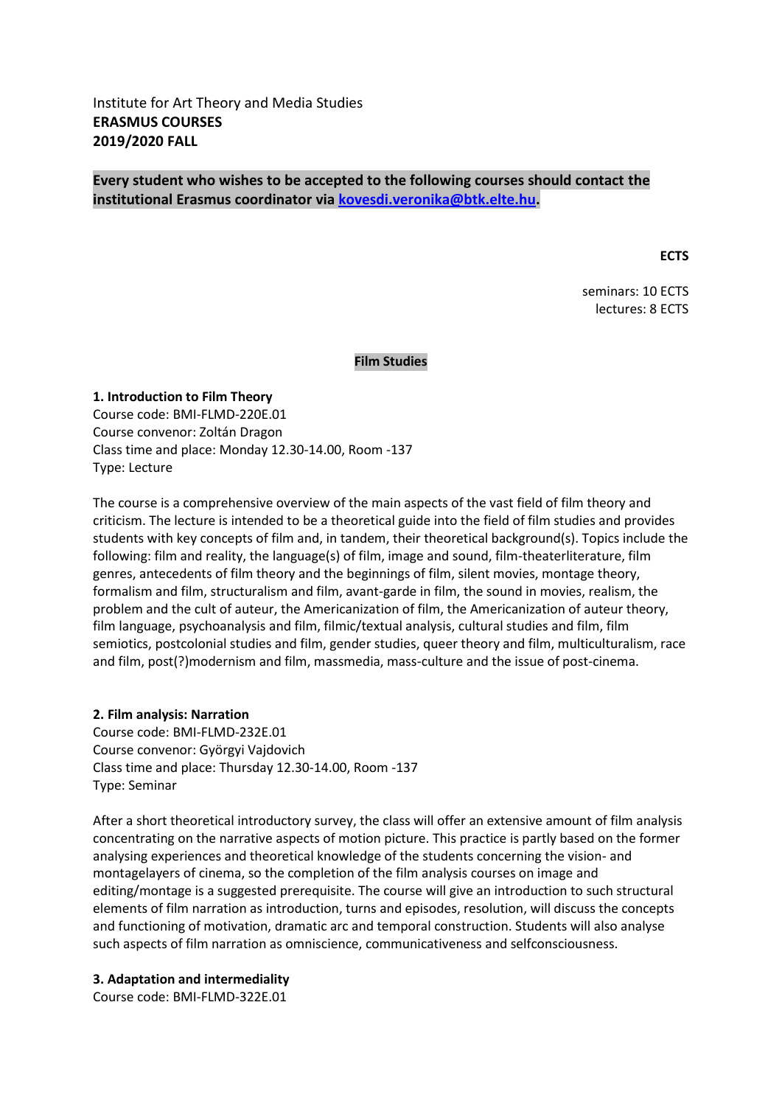# **Every student who wishes to be accepted to the following courses should contact the institutional Erasmus coordinator vi[a kovesdi.veronika@btk.elte.hu.](mailto:kovesdi.veronika@btk.elte.hu)**

**ECTS**

seminars: 10 ECTS lectures: 8 ECTS

**Film Studies**

# **1. Introduction to Film Theory**  Course code: BMI-FLMD-220E.01 Course convenor: Zoltán Dragon Class time and place: Monday 12.30-14.00, Room -137 Type: Lecture

The course is a comprehensive overview of the main aspects of the vast field of film theory and criticism. The lecture is intended to be a theoretical guide into the field of film studies and provides students with key concepts of film and, in tandem, their theoretical background(s). Topics include the following: film and reality, the language(s) of film, image and sound, film-theaterliterature, film genres, antecedents of film theory and the beginnings of film, silent movies, montage theory, formalism and film, structuralism and film, avant-garde in film, the sound in movies, realism, the problem and the cult of auteur, the Americanization of film, the Americanization of auteur theory, film language, psychoanalysis and film, filmic/textual analysis, cultural studies and film, film semiotics, postcolonial studies and film, gender studies, queer theory and film, multiculturalism, race and film, post(?)modernism and film, massmedia, mass-culture and the issue of post-cinema.

## **2. Film analysis: Narration**

Course code: BMI-FLMD-232E.01 Course convenor: Györgyi Vajdovich Class time and place: Thursday 12.30-14.00, Room -137 Type: Seminar

After a short theoretical introductory survey, the class will offer an extensive amount of film analysis concentrating on the narrative aspects of motion picture. This practice is partly based on the former analysing experiences and theoretical knowledge of the students concerning the vision- and montagelayers of cinema, so the completion of the film analysis courses on image and editing/montage is a suggested prerequisite. The course will give an introduction to such structural elements of film narration as introduction, turns and episodes, resolution, will discuss the concepts and functioning of motivation, dramatic arc and temporal construction. Students will also analyse such aspects of film narration as omniscience, communicativeness and selfconsciousness.

## **3. Adaptation and intermediality**

Course code: BMI-FLMD-322E.01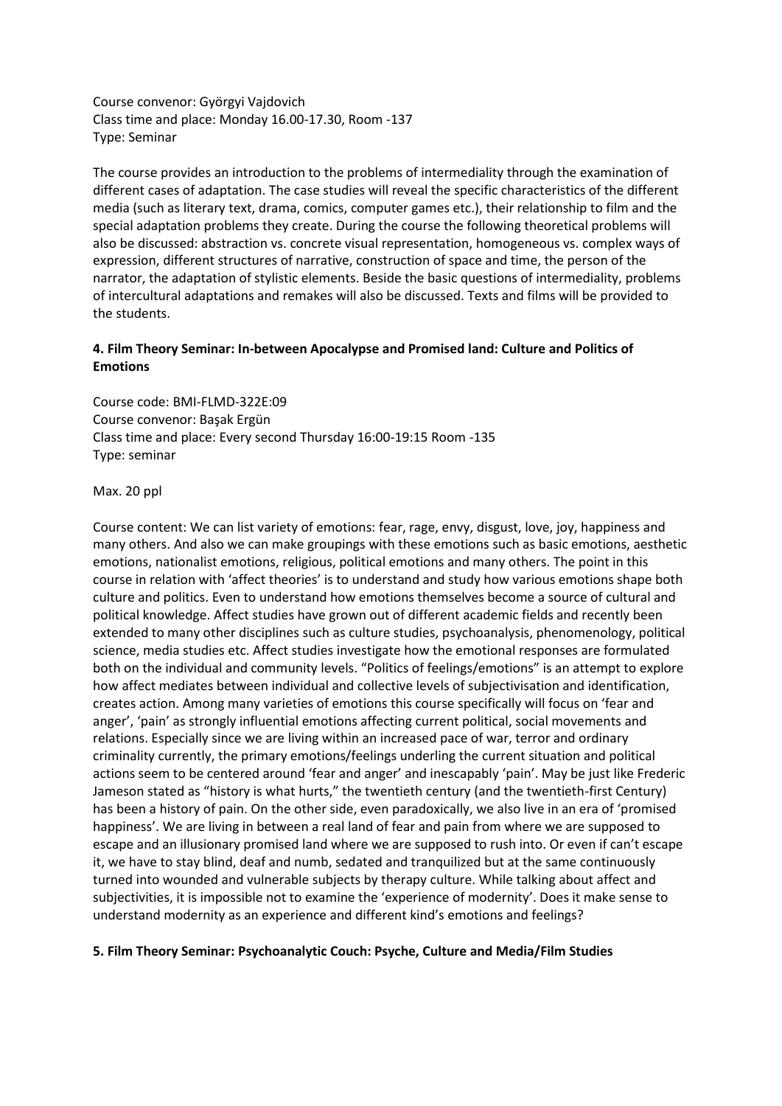Course convenor: Györgyi Vajdovich Class time and place: Monday 16.00-17.30, Room -137 Type: Seminar

The course provides an introduction to the problems of intermediality through the examination of different cases of adaptation. The case studies will reveal the specific characteristics of the different media (such as literary text, drama, comics, computer games etc.), their relationship to film and the special adaptation problems they create. During the course the following theoretical problems will also be discussed: abstraction vs. concrete visual representation, homogeneous vs. complex ways of expression, different structures of narrative, construction of space and time, the person of the narrator, the adaptation of stylistic elements. Beside the basic questions of intermediality, problems of intercultural adaptations and remakes will also be discussed. Texts and films will be provided to the students.

# **4. Film Theory Seminar: In-between Apocalypse and Promised land: Culture and Politics of Emotions**

Course code: BMI-FLMD-322E:09 Course convenor: Başak Ergün Class time and place: Every second Thursday 16:00-19:15 Room -135 Type: seminar

Max. 20 ppl

Course content: We can list variety of emotions: fear, rage, envy, disgust, love, joy, happiness and many others. And also we can make groupings with these emotions such as basic emotions, aesthetic emotions, nationalist emotions, religious, political emotions and many others. The point in this course in relation with 'affect theories' is to understand and study how various emotions shape both culture and politics. Even to understand how emotions themselves become a source of cultural and political knowledge. Affect studies have grown out of different academic fields and recently been extended to many other disciplines such as culture studies, psychoanalysis, phenomenology, political science, media studies etc. Affect studies investigate how the emotional responses are formulated both on the individual and community levels. "Politics of feelings/emotions" is an attempt to explore how affect mediates between individual and collective levels of subjectivisation and identification, creates action. Among many varieties of emotions this course specifically will focus on 'fear and anger', 'pain' as strongly influential emotions affecting current political, social movements and relations. Especially since we are living within an increased pace of war, terror and ordinary criminality currently, the primary emotions/feelings underling the current situation and political actions seem to be centered around 'fear and anger' and inescapably 'pain'. May be just like Frederic Jameson stated as "history is what hurts," the twentieth century (and the twentieth-first Century) has been a history of pain. On the other side, even paradoxically, we also live in an era of 'promised happiness'. We are living in between a real land of fear and pain from where we are supposed to escape and an illusionary promised land where we are supposed to rush into. Or even if can't escape it, we have to stay blind, deaf and numb, sedated and tranquilized but at the same continuously turned into wounded and vulnerable subjects by therapy culture. While talking about affect and subjectivities, it is impossible not to examine the 'experience of modernity'. Does it make sense to understand modernity as an experience and different kind's emotions and feelings?

## **5. Film Theory Seminar: Psychoanalytic Couch: Psyche, Culture and Media/Film Studies**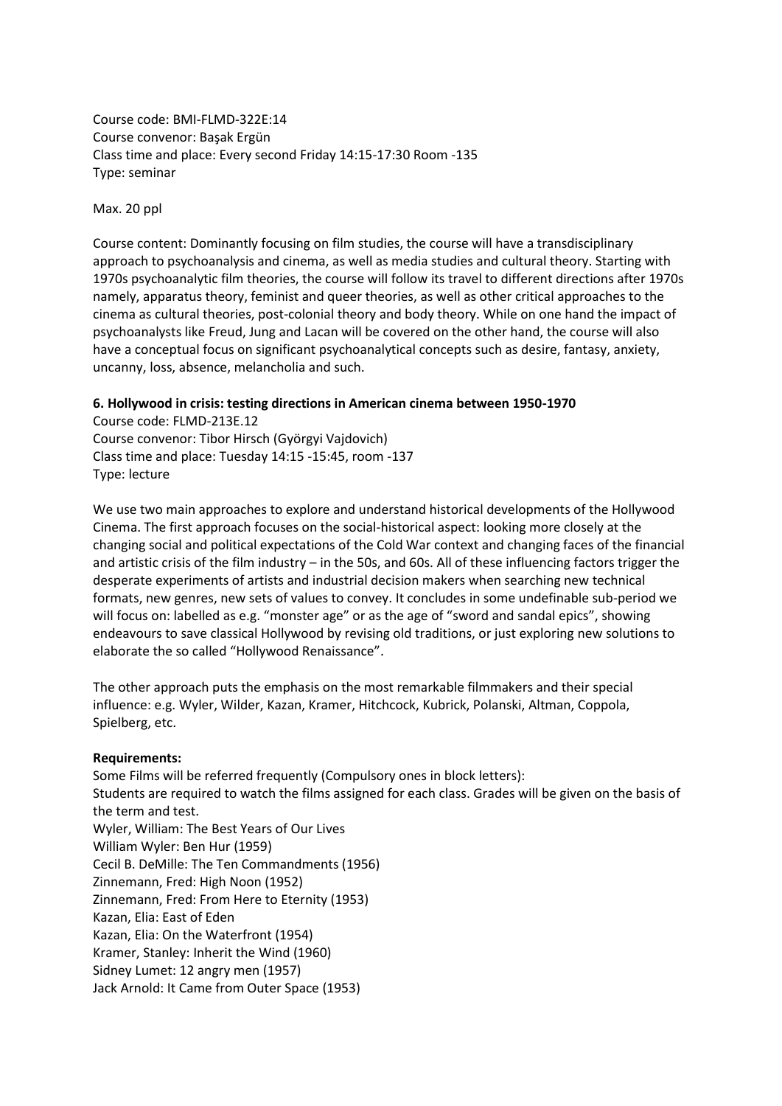Course code: BMI-FLMD-322E:14 Course convenor: Başak Ergün Class time and place: Every second Friday 14:15-17:30 Room -135 Type: seminar

Max. 20 ppl

Course content: Dominantly focusing on film studies, the course will have a transdisciplinary approach to psychoanalysis and cinema, as well as media studies and cultural theory. Starting with 1970s psychoanalytic film theories, the course will follow its travel to different directions after 1970s namely, apparatus theory, feminist and queer theories, as well as other critical approaches to the cinema as cultural theories, post-colonial theory and body theory. While on one hand the impact of psychoanalysts like Freud, Jung and Lacan will be covered on the other hand, the course will also have a conceptual focus on significant psychoanalytical concepts such as desire, fantasy, anxiety, uncanny, loss, absence, melancholia and such.

## **6. Hollywood in crisis: testing directions in American cinema between 1950-1970**

Course code: FLMD-213E.12 Course convenor: Tibor Hirsch (Györgyi Vajdovich) Class time and place: Tuesday 14:15 -15:45, room -137 Type: lecture

We use two main approaches to explore and understand historical developments of the Hollywood Cinema. The first approach focuses on the social-historical aspect: looking more closely at the changing social and political expectations of the Cold War context and changing faces of the financial and artistic crisis of the film industry – in the 50s, and 60s. All of these influencing factors trigger the desperate experiments of artists and industrial decision makers when searching new technical formats, new genres, new sets of values to convey. It concludes in some undefinable sub-period we will focus on: labelled as e.g. "monster age" or as the age of "sword and sandal epics", showing endeavours to save classical Hollywood by revising old traditions, or just exploring new solutions to elaborate the so called "Hollywood Renaissance".

The other approach puts the emphasis on the most remarkable filmmakers and their special influence: e.g. Wyler, Wilder, Kazan, Kramer, Hitchcock, Kubrick, Polanski, Altman, Coppola, Spielberg, etc.

## **Requirements:**

Some Films will be referred frequently (Compulsory ones in block letters): Students are required to watch the films assigned for each class. Grades will be given on the basis of the term and test. Wyler, William: The Best Years of Our Lives William Wyler: Ben Hur (1959) Cecil B. DeMille: The Ten Commandments (1956) Zinnemann, Fred: High Noon (1952) Zinnemann, Fred: From Here to Eternity (1953) Kazan, Elia: East of Eden Kazan, Elia: On the Waterfront (1954) Kramer, Stanley: Inherit the Wind (1960) Sidney Lumet: 12 angry men (1957) Jack Arnold: It Came from Outer Space (1953)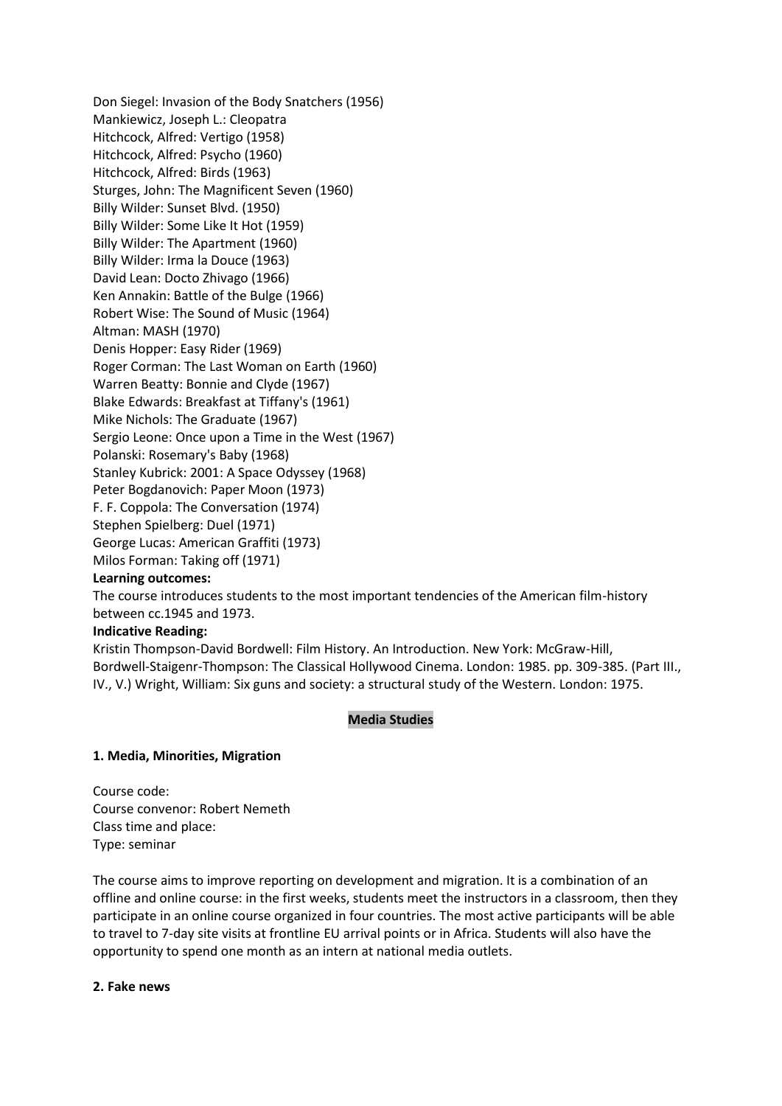Don Siegel: Invasion of the Body Snatchers (1956) Mankiewicz, Joseph L.: Cleopatra Hitchcock, Alfred: Vertigo (1958) Hitchcock, Alfred: Psycho (1960) Hitchcock, Alfred: Birds (1963) Sturges, John: The Magnificent Seven (1960) Billy Wilder: Sunset Blvd. (1950) Billy Wilder: Some Like It Hot (1959) Billy Wilder: The Apartment (1960) Billy Wilder: Irma la Douce (1963) David Lean: Docto Zhivago (1966) Ken Annakin: Battle of the Bulge (1966) Robert Wise: The Sound of Music (1964) Altman: MASH (1970) Denis Hopper: Easy Rider (1969) Roger Corman: The Last Woman on Earth (1960) Warren Beatty: Bonnie and Clyde (1967) Blake Edwards: Breakfast at Tiffany's (1961) Mike Nichols: The Graduate (1967) Sergio Leone: Once upon a Time in the West (1967) Polanski: Rosemary's Baby (1968) Stanley Kubrick: 2001: A Space Odyssey (1968) Peter Bogdanovich: Paper Moon (1973) F. F. Coppola: The Conversation (1974) Stephen Spielberg: Duel (1971) George Lucas: American Graffiti (1973) Milos Forman: Taking off (1971)

## **Learning outcomes:**

The course introduces students to the most important tendencies of the American film-history between cc.1945 and 1973.

#### **Indicative Reading:**

Kristin Thompson-David Bordwell: Film History. An Introduction. New York: McGraw-Hill, Bordwell-Staigenr-Thompson: The Classical Hollywood Cinema. London: 1985. pp. 309-385. (Part III., IV., V.) Wright, William: Six guns and society: a structural study of the Western. London: 1975.

## **Media Studies**

## **1. Media, Minorities, Migration**

Course code: Course convenor: Robert Nemeth Class time and place: Type: seminar

The course aims to improve reporting on development and migration. It is a combination of an offline and online course: in the first weeks, students meet the instructors in a classroom, then they participate in an online course organized in four countries. The most active participants will be able to travel to 7-day site visits at frontline EU arrival points or in Africa. Students will also have the opportunity to spend one month as an intern at national media outlets.

## **2. Fake news**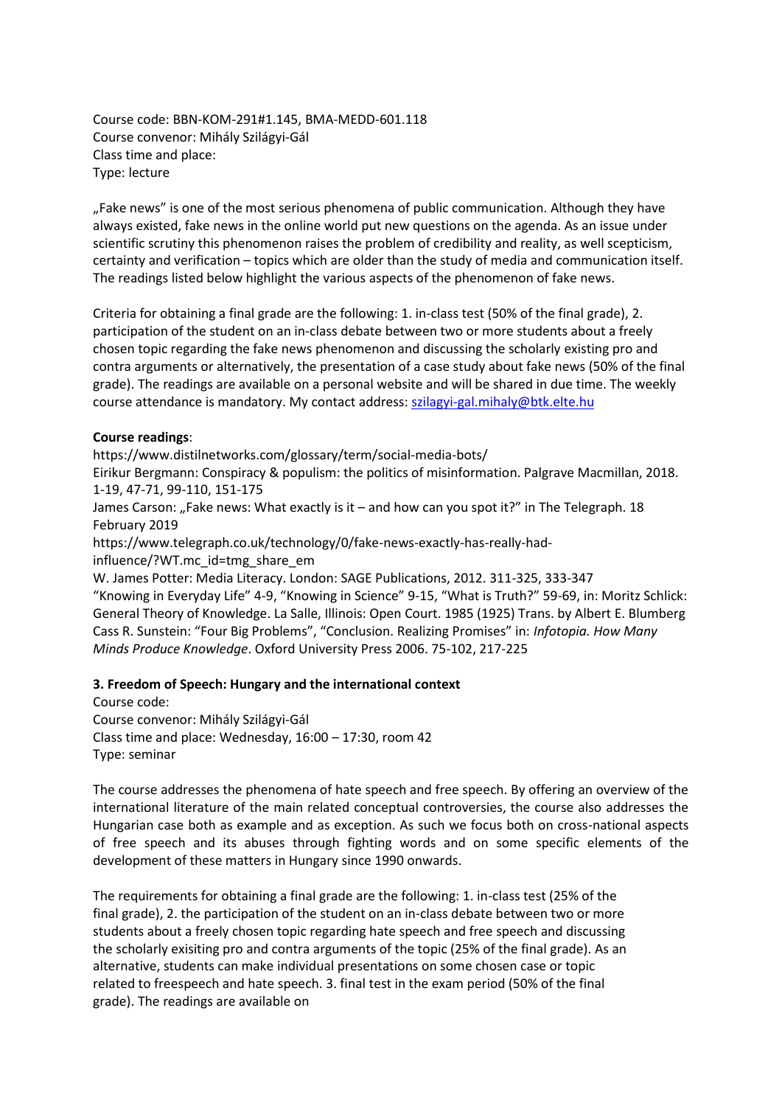Course code: BBN-KOM-291#1.145, BMA-MEDD-601.118 Course convenor: Mihály Szilágyi-Gál Class time and place: Type: lecture

"Fake news" is one of the most serious phenomena of public communication. Although they have always existed, fake news in the online world put new questions on the agenda. As an issue under scientific scrutiny this phenomenon raises the problem of credibility and reality, as well scepticism, certainty and verification – topics which are older than the study of media and communication itself. The readings listed below highlight the various aspects of the phenomenon of fake news.

Criteria for obtaining a final grade are the following: 1. in-class test (50% of the final grade), 2. participation of the student on an in-class debate between two or more students about a freely chosen topic regarding the fake news phenomenon and discussing the scholarly existing pro and contra arguments or alternatively, the presentation of a case study about fake news (50% of the final grade). The readings are available on a personal website and will be shared in due time. The weekly course attendance is mandatory. My contact address: [szilagyi-gal.mihaly@btk.elte.hu](mailto:szilagyi-gal.mihaly@btk.elte.hu)

#### **Course readings**:

https://www.distilnetworks.com/glossary/term/social-media-bots/

Eirikur Bergmann: Conspiracy & populism: the politics of misinformation. Palgrave Macmillan, 2018. 1-19, 47-71, 99-110, 151-175

James Carson: "Fake news: What exactly is it – and how can you spot it?" in The Telegraph. 18 February 2019

https://www.telegraph.co.uk/technology/0/fake-news-exactly-has-really-hadinfluence/?WT.mc\_id=tmg\_share\_em

W. James Potter: Media Literacy. London: SAGE Publications, 2012. 311-325, 333-347 "Knowing in Everyday Life" 4-9, "Knowing in Science" 9-15, "What is Truth?" 59-69, in: Moritz Schlick: General Theory of Knowledge. La Salle, Illinois: Open Court. 1985 (1925) Trans. by Albert E. Blumberg Cass R. Sunstein: "Four Big Problems", "Conclusion. Realizing Promises" in: *Infotopia. How Many Minds Produce Knowledge*. Oxford University Press 2006. 75-102, 217-225

## **3. Freedom of Speech: Hungary and the international context**

Course code: Course convenor: Mihály Szilágyi-Gál Class time and place: Wednesday, 16:00 – 17:30, room 42 Type: seminar

The course addresses the phenomena of hate speech and free speech. By offering an overview of the international literature of the main related conceptual controversies, the course also addresses the Hungarian case both as example and as exception. As such we focus both on cross-national aspects of free speech and its abuses through fighting words and on some specific elements of the development of these matters in Hungary since 1990 onwards.

The requirements for obtaining a final grade are the following: 1. in-class test (25% of the final grade), 2. the participation of the student on an in-class debate between two or more students about a freely chosen topic regarding hate speech and free speech and discussing the scholarly exisiting pro and contra arguments of the topic (25% of the final grade). As an alternative, students can make individual presentations on some chosen case or topic related to freespeech and hate speech. 3. final test in the exam period (50% of the final grade). The readings are available on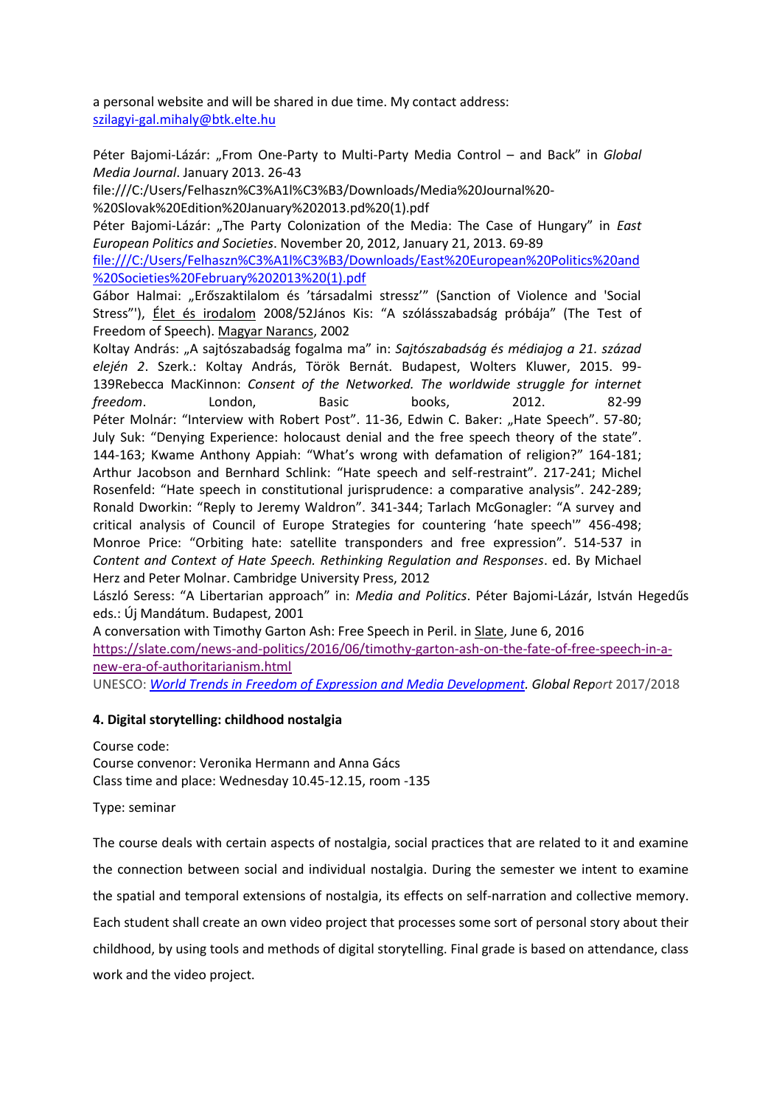a personal website and will be shared in due time. My contact address: [szilagyi-gal.mihaly@btk.elte.hu](mailto:szilagyi-gal.mihaly@btk.elte.hu)

Péter Bajomi-Lázár: "From One-Party to Multi-Party Media Control - and Back" in *Global Media Journal*. January 2013. 26-43

file:///C:/Users/Felhaszn%C3%A1l%C3%B3/Downloads/Media%20Journal%20-

%20Slovak%20Edition%20January%202013.pd%20(1).pdf

Péter Bajomi-Lázár: "The Party Colonization of the Media: The Case of Hungary" in *East European Politics and Societies*. November 20, 2012, January 21, 2013. 69-89

file:///C:/Users/Felhaszn%C3%A1l%C3%B3/Downloads/East%20European%20Politics%20and %20Societies%20February%202013%20(1).pdf

Gábor Halmai: "Erőszaktilalom és 'társadalmi stressz'" (Sanction of Violence and 'Social Stress"'), Élet és irodalom 2008/52János Kis: "A szólásszabadság próbája" (The Test of Freedom of Speech). Magyar Narancs, 2002

Koltay András: "A sajtószabadság fogalma ma" in: *Sajtószabadság és médiajog a 21. század elején 2*. Szerk.: Koltay András, Török Bernát. Budapest, Wolters Kluwer, 2015. 99- 139Rebecca MacKinnon: *Consent of the Networked. The worldwide struggle for internet freedom*. London, Basic books, 2012. 82-99 Péter Molnár: "Interview with Robert Post". 11-36, Edwin C. Baker: "Hate Speech". 57-80; July Suk: "Denying Experience: holocaust denial and the free speech theory of the state". 144-163; Kwame Anthony Appiah: "What's wrong with defamation of religion?" 164-181; Arthur Jacobson and Bernhard Schlink: "Hate speech and self-restraint". 217-241; Michel Rosenfeld: "Hate speech in constitutional jurisprudence: a comparative analysis". 242-289; Ronald Dworkin: "Reply to Jeremy Waldron". 341-344; Tarlach McGonagler: "A survey and critical analysis of Council of Europe Strategies for countering 'hate speech'" 456-498; Monroe Price: "Orbiting hate: satellite transponders and free expression". 514-537 in *Content and Context of Hate Speech. Rethinking Regulation and Responses*. ed. By Michael Herz and Peter Molnar. Cambridge University Press, 2012

László Seress: "A Libertarian approach" in: *Media and Politics*. Péter Bajomi-Lázár, István Hegedűs eds.: Új Mandátum. Budapest, 2001

A conversation with Timothy Garton Ash: Free Speech in Peril. in Slate, June 6, 2016 [https://slate.com/news-and-politics/2016/06/timothy-garton-ash-on-the-fate-of-free-speech-in-a](https://www.theguardian.com/world/2016/jan/24/safe-spaces-universities-no-platform-free-speech-rhodes)[new-era-of-authoritarianism.html](https://www.theguardian.com/world/2016/jan/24/safe-spaces-universities-no-platform-free-speech-rhodes)

UNESCO: *[World Trends in Freedom of Expression and Media Development.](https://en.unesco.org/world-media-trends-2017) Global Report* 2017/2018

## **4. Digital storytelling: childhood nostalgia**

Course code: Course convenor: Veronika Hermann and Anna Gács Class time and place: Wednesday 10.45-12.15, room -135

Type: seminar

The course deals with certain aspects of nostalgia, social practices that are related to it and examine the connection between social and individual nostalgia. During the semester we intent to examine the spatial and temporal extensions of nostalgia, its effects on self-narration and collective memory. Each student shall create an own video project that processes some sort of personal story about their childhood, by using tools and methods of digital storytelling. Final grade is based on attendance, class work and the video project.